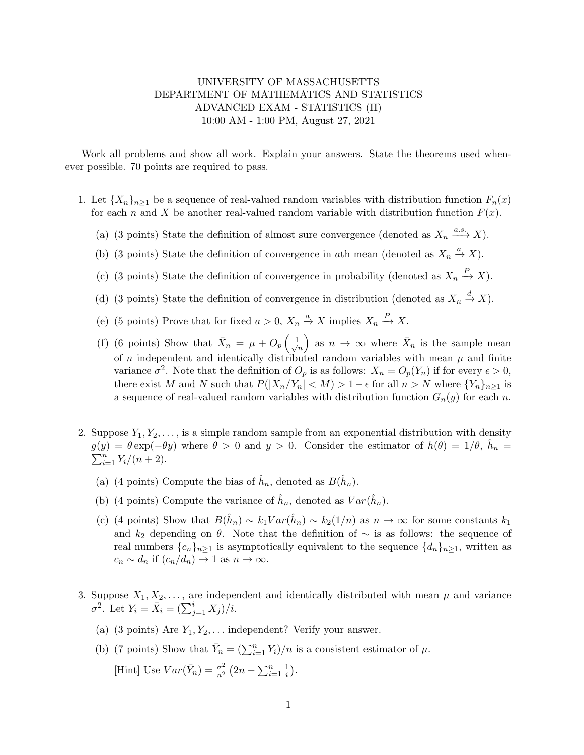## UNIVERSITY OF MASSACHUSETTS DEPARTMENT OF MATHEMATICS AND STATISTICS ADVANCED EXAM - STATISTICS (II) 10:00 AM - 1:00 PM, August 27, 2021

Work all problems and show all work. Explain your answers. State the theorems used whenever possible. 70 points are required to pass.

- 1. Let  ${X_n}_{n\geq 1}$  be a sequence of real-valued random variables with distribution function  $F_n(x)$ for each n and X be another real-valued random variable with distribution function  $F(x)$ .
	- (a) (3 points) State the definition of almost sure convergence (denoted as  $X_n \xrightarrow{a.s.} X$ ).
	- (b) (3 points) State the definition of convergence in ath mean (denoted as  $X_n \stackrel{a}{\rightarrow} X$ ).
	- (c) (3 points) State the definition of convergence in probability (denoted as  $X_n \stackrel{P}{\to} X$ ).
	- (d) (3 points) State the definition of convergence in distribution (denoted as  $X_n \stackrel{d}{\rightarrow} X$ ).
	- (e) (5 points) Prove that for fixed  $a > 0$ ,  $X_n \stackrel{a}{\to} X$  implies  $X_n \stackrel{P}{\to} X$ .
	- (f) (6 points) Show that  $\bar{X}_n = \mu + O_p\left(\frac{1}{\sqrt{n}}\right)$  $\overline{n}$ as  $n \to \infty$  where  $\bar{X}_n$  is the sample mean of n independent and identically distributed random variables with mean  $\mu$  and finite variance  $\sigma^2$ . Note that the definition of  $O_p$  is as follows:  $X_n = O_p(Y_n)$  if for every  $\epsilon > 0$ , there exist M and N such that  $P(|X_n/Y_n| < M) > 1-\epsilon$  for all  $n > N$  where  $\{Y_n\}_{n\geq 1}$  is a sequence of real-valued random variables with distribution function  $G_n(y)$  for each n.
- 2. Suppose  $Y_1, Y_2, \ldots$ , is a simple random sample from an exponential distribution with density  $g(y) = \theta \exp(-\theta y)$  where  $\theta > 0$  and  $y > 0$ . Consider the estimator of  $h(\theta) = 1/\theta$ ,  $\hat{h}_n = \sum_{i=1}^n Y_i/(n+2)$ .  $\sum_{i=1}^{n} Y_i/(n+2).$ 
	- (a) (4 points) Compute the bias of  $\hat{h}_n$ , denoted as  $B(\hat{h}_n)$ .
	- (b) (4 points) Compute the variance of  $\hat{h}_n$ , denoted as  $Var(\hat{h}_n)$ .
	- (c) (4 points) Show that  $B(\hat{h}_n) \sim k_1 Var(\hat{h}_n) \sim k_2(1/n)$  as  $n \to \infty$  for some constants  $k_1$ and  $k_2$  depending on  $\theta$ . Note that the definition of  $\sim$  is as follows: the sequence of real numbers  $\{c_n\}_{n\geq 1}$  is asymptotically equivalent to the sequence  $\{d_n\}_{n\geq 1}$ , written as  $c_n \sim d_n$  if  $(c_n/d_n) \to 1$  as  $n \to \infty$ .
- 3. Suppose  $X_1, X_2, \ldots$ , are independent and identically distributed with mean  $\mu$  and variance  $\sigma^2$ . Let  $Y_i = \bar{X}_i = (\sum_{j=1}^i X_j)/i$ .
	- (a) (3 points) Are  $Y_1, Y_2, \ldots$  independent? Verify your answer.
	- (b) (7 points) Show that  $\bar{Y}_n = (\sum_{i=1}^n Y_i)/n$  is a consistent estimator of  $\mu$ . [Hint] Use  $Var(\bar{Y}_n) = \frac{\sigma^2}{n^2}$  $\frac{\sigma^2}{n^2}(2n - \sum_{i=1}^n \frac{1}{i})$  $\frac{1}{i}$ .